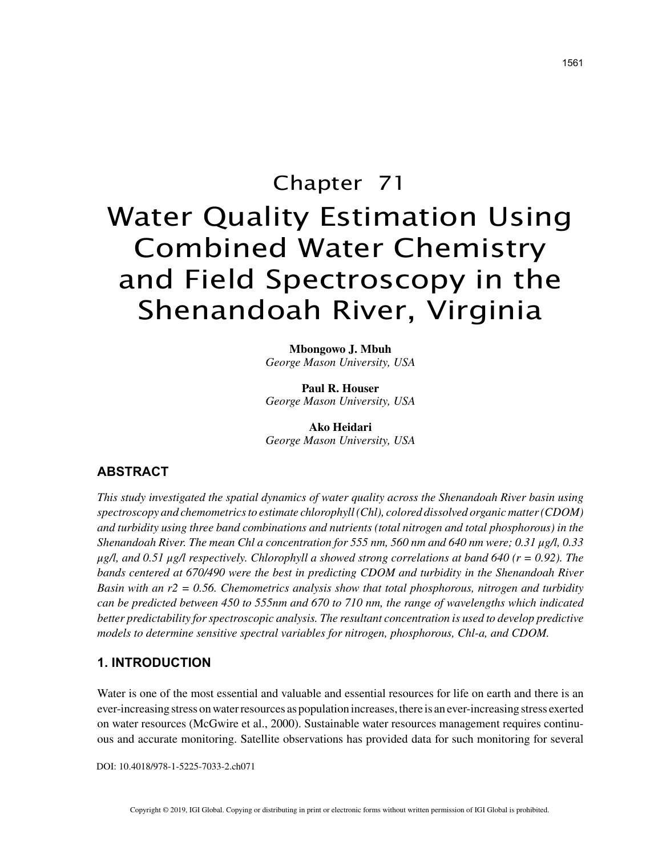# Chapter 71 Water Quality Estimation Using Combined Water Chemistry and Field Spectroscopy in the Shenandoah River, Virginia

**Mbongowo J. Mbuh** *George Mason University, USA*

**Paul R. Houser** *George Mason University, USA*

**Ako Heidari** *George Mason University, USA*

## **ABSTRACT**

*This study investigated the spatial dynamics of water quality across the Shenandoah River basin using spectroscopy and chemometrics to estimate chlorophyll (Chl), colored dissolved organic matter (CDOM) and turbidity using three band combinations and nutrients (total nitrogen and total phosphorous) in the Shenandoah River. The mean Chl a concentration for 555 nm, 560 nm and 640 nm were; 0.31 μg/l, 0.33 μg/l, and 0.51 μg/l respectively. Chlorophyll a showed strong correlations at band 640 (r = 0.92). The bands centered at 670/490 were the best in predicting CDOM and turbidity in the Shenandoah River Basin with an r2 = 0.56. Chemometrics analysis show that total phosphorous, nitrogen and turbidity can be predicted between 450 to 555nm and 670 to 710 nm, the range of wavelengths which indicated better predictability for spectroscopic analysis. The resultant concentration is used to develop predictive models to determine sensitive spectral variables for nitrogen, phosphorous, Chl-a, and CDOM.*

## **1. INTRODUCTION**

Water is one of the most essential and valuable and essential resources for life on earth and there is an ever-increasing stress on water resources as population increases, there is an ever-increasing stress exerted on water resources (McGwire et al., 2000). Sustainable water resources management requires continuous and accurate monitoring. Satellite observations has provided data for such monitoring for several

DOI: 10.4018/978-1-5225-7033-2.ch071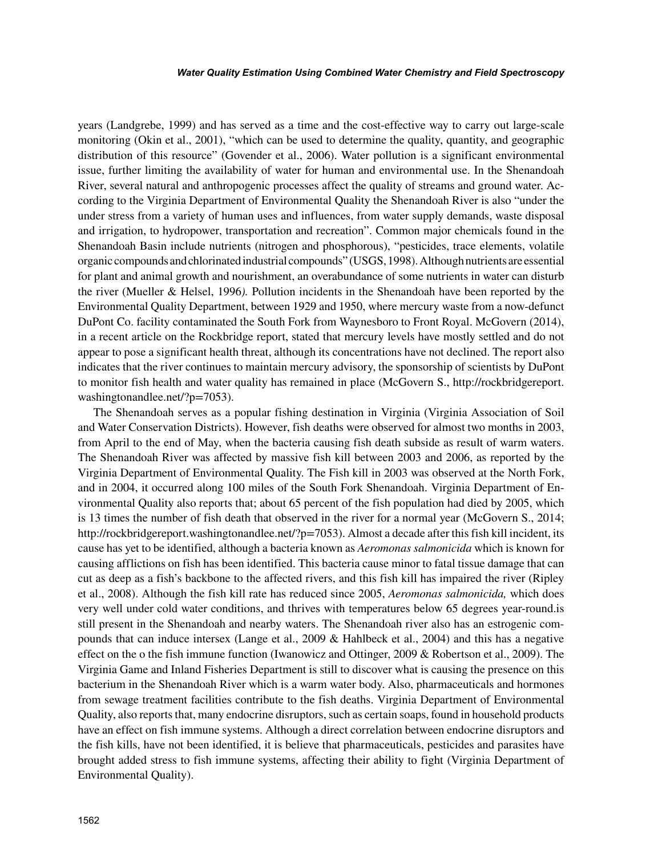#### *Water Quality Estimation Using Combined Water Chemistry and Field Spectroscopy*

years (Landgrebe, 1999) and has served as a time and the cost-effective way to carry out large-scale monitoring (Okin et al., 2001), "which can be used to determine the quality, quantity, and geographic distribution of this resource" (Govender et al., 2006). Water pollution is a significant environmental issue, further limiting the availability of water for human and environmental use. In the Shenandoah River, several natural and anthropogenic processes affect the quality of streams and ground water. According to the Virginia Department of Environmental Quality the Shenandoah River is also "under the under stress from a variety of human uses and influences, from water supply demands, waste disposal and irrigation, to hydropower, transportation and recreation". Common major chemicals found in the Shenandoah Basin include nutrients (nitrogen and phosphorous), "pesticides, trace elements, volatile organic compounds and chlorinated industrial compounds" (USGS, 1998). Although nutrients are essential for plant and animal growth and nourishment, an overabundance of some nutrients in water can disturb the river (Mueller & Helsel, 1996*).* Pollution incidents in the Shenandoah have been reported by the Environmental Quality Department, between 1929 and 1950, where mercury waste from a now-defunct DuPont Co. facility contaminated the South Fork from Waynesboro to Front Royal. McGovern (2014), in a recent article on the Rockbridge report, stated that mercury levels have mostly settled and do not appear to pose a significant health threat, although its concentrations have not declined. The report also indicates that the river continues to maintain mercury advisory, the sponsorship of scientists by DuPont to monitor fish health and water quality has remained in place (McGovern S., http://rockbridgereport. washingtonandlee.net/?p=7053).

The Shenandoah serves as a popular fishing destination in Virginia (Virginia Association of Soil and Water Conservation Districts). However, fish deaths were observed for almost two months in 2003, from April to the end of May, when the bacteria causing fish death subside as result of warm waters. The Shenandoah River was affected by massive fish kill between 2003 and 2006, as reported by the Virginia Department of Environmental Quality. The Fish kill in 2003 was observed at the North Fork, and in 2004, it occurred along 100 miles of the South Fork Shenandoah. Virginia Department of Environmental Quality also reports that; about 65 percent of the fish population had died by 2005, which is 13 times the number of fish death that observed in the river for a normal year (McGovern S., 2014; http://rockbridgereport.washingtonandlee.net/?p=7053). Almost a decade after this fish kill incident, its cause has yet to be identified, although a bacteria known as *Aeromonas salmonicida* which is known for causing afflictions on fish has been identified. This bacteria cause minor to fatal tissue damage that can cut as deep as a fish's backbone to the affected rivers, and this fish kill has impaired the river (Ripley et al., 2008). Although the fish kill rate has reduced since 2005, *Aeromonas salmonicida,* which does very well under cold water conditions, and thrives with temperatures below 65 degrees year-round.is still present in the Shenandoah and nearby waters. The Shenandoah river also has an estrogenic compounds that can induce intersex (Lange et al., 2009 & Hahlbeck et al., 2004) and this has a negative effect on the o the fish immune function (Iwanowicz and Ottinger, 2009 & Robertson et al., 2009). The Virginia Game and Inland Fisheries Department is still to discover what is causing the presence on this bacterium in the Shenandoah River which is a warm water body. Also, pharmaceuticals and hormones from sewage treatment facilities contribute to the fish deaths. Virginia Department of Environmental Quality, also reports that, many endocrine disruptors, such as certain soaps, found in household products have an effect on fish immune systems. Although a direct correlation between endocrine disruptors and the fish kills, have not been identified, it is believe that pharmaceuticals, pesticides and parasites have brought added stress to fish immune systems, affecting their ability to fight (Virginia Department of Environmental Quality).